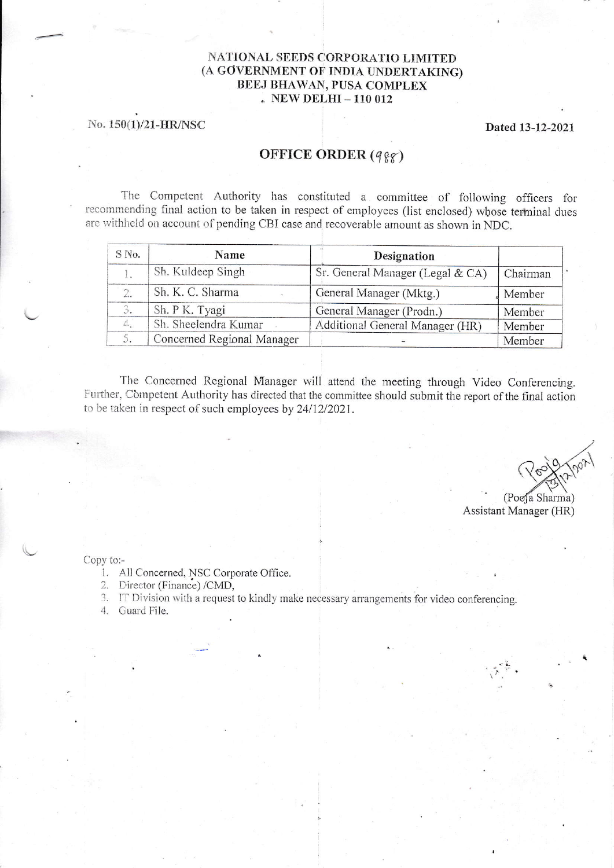## NATIONAL SEEDS CORPORATIO LIMITED (A GOVERNMENT OF INDIA UNDERTAKING) **BEEJ BHAWAN, PUSA COMPLEX** . NEW DELHI - 110 012

## No. 150(1)/21-HR/NSC

## Dated 13-12-2021

## OFFICE ORDER (988)

The Competent Authority has constituted a committee of following officers for recommending final action to be taken in respect of employees (list enclosed) whose terminal dues are withheld on account of pending CBI case and recoverable amount as shown in NDC.

| S No. | Name                       | Designation                      |          |
|-------|----------------------------|----------------------------------|----------|
|       | Sh. Kuldeep Singh          | Sr. General Manager (Legal & CA) | Chairman |
|       | Sh. K. C. Sharma           | General Manager (Mktg.)          | Member   |
|       | Sh. P K. Tyagi             | General Manager (Prodn.)         | Member   |
|       | Sh. Sheelendra Kumar       | Additional General Manager (HR)  | Member   |
|       | Concerned Regional Manager |                                  | Member   |

The Concerned Regional Manager will attend the meeting through Video Conferencing. Further, Competent Authority has directed that the committee should submit the report of the final action to be taken in respect of such employees by 24/12/2021.

(Pooja Sharma) Assistant Manager (HR)

Copy to:-

- 1. All Concerned, NSC Corporate Office.
- 2. Director (Finance) /CMD,
- 3. IT Division with a request to kindly make necessary arrangements for video conferencing.
- 4. Guard File.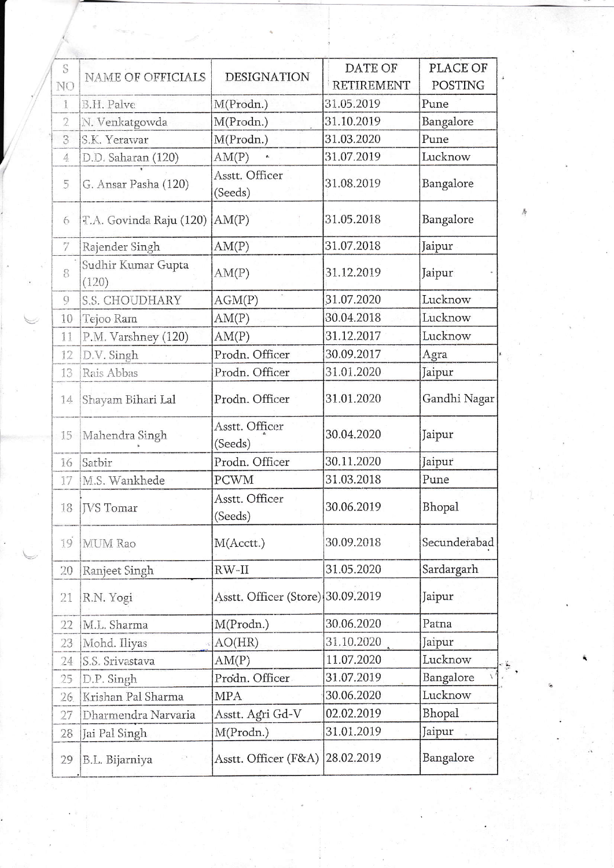| S              | <b>NAME OF OFFICIALS</b>    | <b>DESIGNATION</b>                | DATE OF           | <b>PLACE OF</b><br><b>POSTING</b> |  |
|----------------|-----------------------------|-----------------------------------|-------------------|-----------------------------------|--|
| NO             |                             |                                   | <b>RETIREMENT</b> |                                   |  |
| 1              | B.H. Palve                  | M(Prodn.)                         | 31.05.2019        | Pune                              |  |
| $\overline{2}$ | N. Venkatgowda              | 31.10.2019<br>M(Prodn.)           |                   | Bangalore                         |  |
| 3              | S.K. Yerawar                | M(Prodn.)                         | 31.03.2020        | Pune                              |  |
| $\overline{4}$ | D.D. Saharan (120)          | AM(P)                             | 31.07.2019        | Lucknow                           |  |
| $\overline{5}$ | G. Ansar Pasha (120)        | Asstt. Officer<br>(Seeds)         | 31.08.2019        | Bangalore                         |  |
| 6              | T.A. Govinda Raju (120)     | AM(P)                             | 31.05.2018        | Bangalore                         |  |
| 7              | Rajender Singh              | AM(P)                             | 31.07.2018        | Jaipur                            |  |
| 8              | Sudhir Kumar Gupta<br>(120) | AM(P)                             | 31.12.2019        | Jaipur                            |  |
| 9              | S.S. CHOUDHARY              | AGM(P)                            | 31.07.2020        | Lucknow                           |  |
| 10             | Tejoo Ram                   | AM(P)                             | 30.04.2018        | Lucknow                           |  |
| 11             | P.M. Varshney (120)         | AM(P)                             | 31.12.2017        | Lucknow                           |  |
| 12             | D.V. Singh                  | Prodn. Officer                    | 30.09.2017        | Agra                              |  |
| 13             | Rais Abbas                  | Prodn. Officer                    | 31.01.2020        | Jaipur                            |  |
| 14             | Shayam Bihari Lal           | Prodn. Officer                    | 31.01.2020        | Gandhi Nagar                      |  |
| 15             | Mahendra Singh              | Asstt. Officer<br>(Seeds)         | 30.04.2020        | Jaipur                            |  |
| 16             | Satbir                      | Prodn. Officer                    | 30.11.2020        | Jaipur                            |  |
| 17             | M.S. Wankhede               | <b>PCWM</b>                       | 31.03.2018        | Pune                              |  |
| 18             | <b>IVS</b> Tomar            | Asstt. Officer<br>(Seeds)         | 30.06.2019        | Bhopal                            |  |
| 19             | MUM Rao                     | M(Acctt.)                         | 30.09.2018        | Secunderabad                      |  |
| 20             | Ranjeet Singh               | $RW-II$                           | 31.05.2020        | Sardargarh                        |  |
| 21             | R.N. Yogi                   | Asstt. Officer (Store) 30.09.2019 |                   | Jaipur                            |  |
| 22             | M.L. Sharma                 | M(Prodn.)                         | 30.06.2020        | Patna                             |  |
| 23             | Mohd. Iliyas                | AO(HR)                            | 31.10.2020        | Jaipur                            |  |
| 24             | S.S. Srivastava             | AM(P)                             | 11.07.2020        | Lucknow                           |  |
| 25             | D.P. Singh                  | Prodn. Officer                    | 31.07.2019        | Bangalore                         |  |
| 26.            | Krishan Pal Sharma          | <b>MPA</b>                        | 30.06.2020        | Lucknow                           |  |
| 27             | Dharmendra Narvaria         | Asstt. Agri Gd-V                  | 02.02.2019        | Bhopal                            |  |
| 28             | Jai Pal Singh               | M(Prodn.)                         | 31.01.2019        | Jaipur                            |  |
| 29             | B.L. Bijarniya              | Asstt. Officer (F&A)              | 28.02.2019        | Bangalore                         |  |